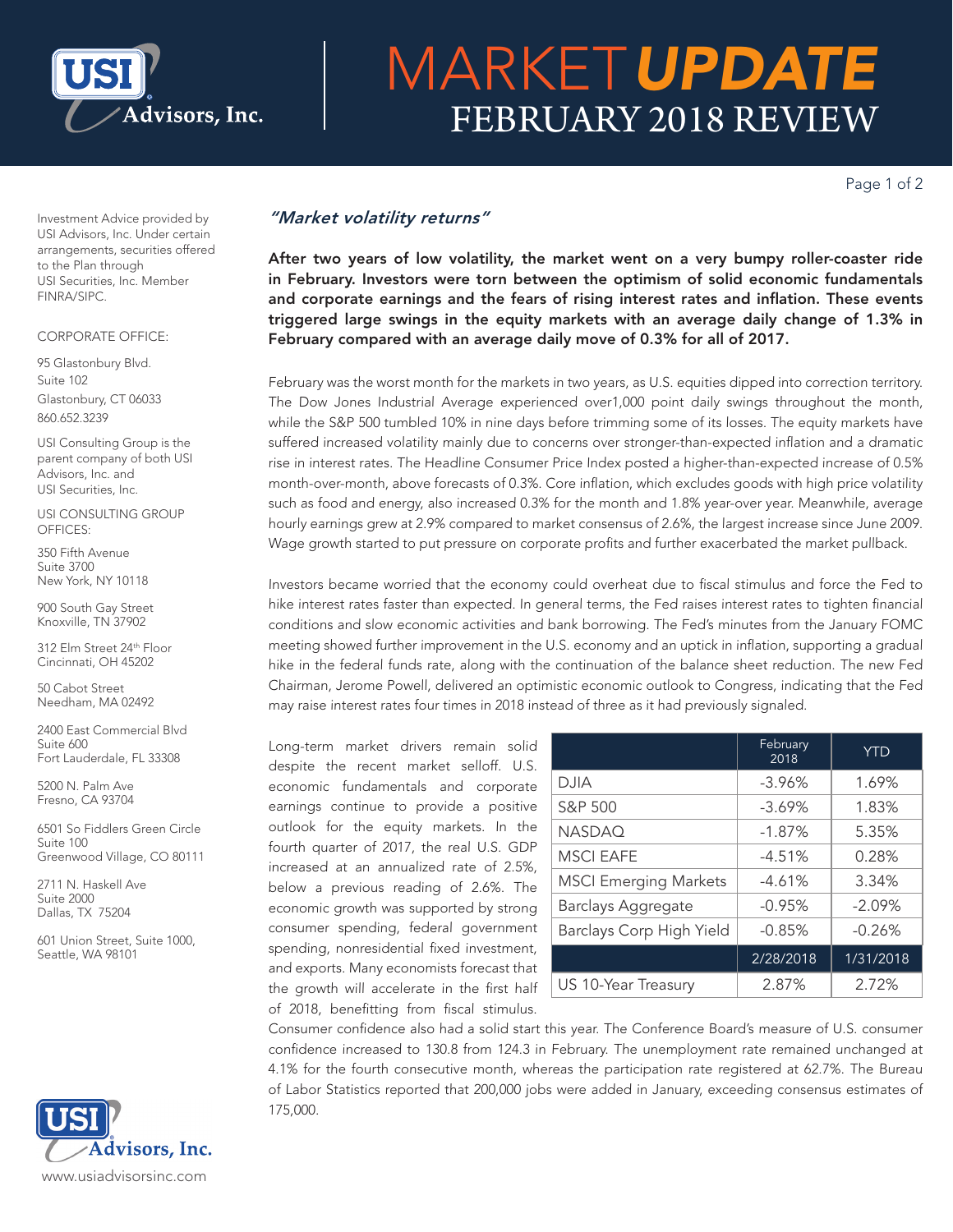

# MARKET*UPDATE* FEBRUARY 2018 REVIEW

Page 1 of 2

Investment Advice provided by USI Advisors, Inc. Under certain arrangements, securities offered to the Plan through USI Securities, Inc. Member FINRA/SIPC.

### CORPORATE OFFICE:

95 Glastonbury Blvd. Suite 102 Glastonbury, CT 06033 860.652.3239

USI Consulting Group is the parent company of both USI Advisors, Inc. and USI Securities, Inc.

USI CONSULTING GROUP OFFICES:

350 Fifth Avenue Suite 3700 New York, NY 10118

900 South Gay Street Knoxville, TN 37902

312 Elm Street 24th Floor Cincinnati, OH 45202

50 Cabot Street Needham, MA 02492

2400 East Commercial Blvd Suite 600 Fort Lauderdale, FL 33308

5200 N. Palm Ave Fresno, CA 93704

6501 So Fiddlers Green Circle Suite 100 Greenwood Village, CO 80111

2711 N. Haskell Ave Suite 2000 Dallas, TX 75204

601 Union Street, Suite 1000, Seattle, WA 98101



## *"Market volatility returns"*

After two years of low volatility, the market went on a very bumpy roller-coaster ride in February. Investors were torn between the optimism of solid economic fundamentals and corporate earnings and the fears of rising interest rates and inflation. These events triggered large swings in the equity markets with an average daily change of 1.3% in February compared with an average daily move of 0.3% for all of 2017.

February was the worst month for the markets in two years, as U.S. equities dipped into correction territory. The Dow Jones Industrial Average experienced over1,000 point daily swings throughout the month, while the S&P 500 tumbled 10% in nine days before trimming some of its losses. The equity markets have suffered increased volatility mainly due to concerns over stronger-than-expected inflation and a dramatic rise in interest rates. The Headline Consumer Price Index posted a higher-than-expected increase of 0.5% month-over-month, above forecasts of 0.3%. Core inflation, which excludes goods with high price volatility such as food and energy, also increased 0.3% for the month and 1.8% year-over year. Meanwhile, average hourly earnings grew at 2.9% compared to market consensus of 2.6%, the largest increase since June 2009. Wage growth started to put pressure on corporate profits and further exacerbated the market pullback.

Investors became worried that the economy could overheat due to fiscal stimulus and force the Fed to hike interest rates faster than expected. In general terms, the Fed raises interest rates to tighten financial conditions and slow economic activities and bank borrowing. The Fed's minutes from the January FOMC meeting showed further improvement in the U.S. economy and an uptick in inflation, supporting a gradual hike in the federal funds rate, along with the continuation of the balance sheet reduction. The new Fed Chairman, Jerome Powell, delivered an optimistic economic outlook to Congress, indicating that the Fed may raise interest rates four times in 2018 instead of three as it had previously signaled.

Long-term market drivers remain solid despite the recent market selloff. U.S. economic fundamentals and corporate earnings continue to provide a positive outlook for the equity markets. In the fourth quarter of 2017, the real U.S. GDP increased at an annualized rate of 2.5%, below a previous reading of 2.6%. The economic growth was supported by strong consumer spending, federal government spending, nonresidential fixed investment, and exports. Many economists forecast that the growth will accelerate in the first half of 2018, benefitting from fiscal stimulus.

|                              | February<br>2018 | <b>YTD</b> |
|------------------------------|------------------|------------|
| <b>DJIA</b>                  | $-3.96%$         | 1.69%      |
| S&P 500                      | $-3.69%$         | 1.83%      |
| <b>NASDAQ</b>                | $-1.87%$         | 5.35%      |
| <b>MSCI EAFE</b>             | $-4.51%$         | 0.28%      |
| <b>MSCI Emerging Markets</b> | $-4.61%$         | 3.34%      |
| <b>Barclays Aggregate</b>    | $-0.95%$         | $-2.09%$   |
| Barclays Corp High Yield     | $-0.85%$         | $-0.26%$   |
|                              | 2/28/2018        | 1/31/2018  |
| US 10-Year Treasury          | 2.87%            | 2.72%      |

Consumer confidence also had a solid start this year. The Conference Board's measure of U.S. consumer confidence increased to 130.8 from 124.3 in February. The unemployment rate remained unchanged at 4.1% for the fourth consecutive month, whereas the participation rate registered at 62.7%. The Bureau of Labor Statistics reported that 200,000 jobs were added in January, exceeding consensus estimates of 175,000.